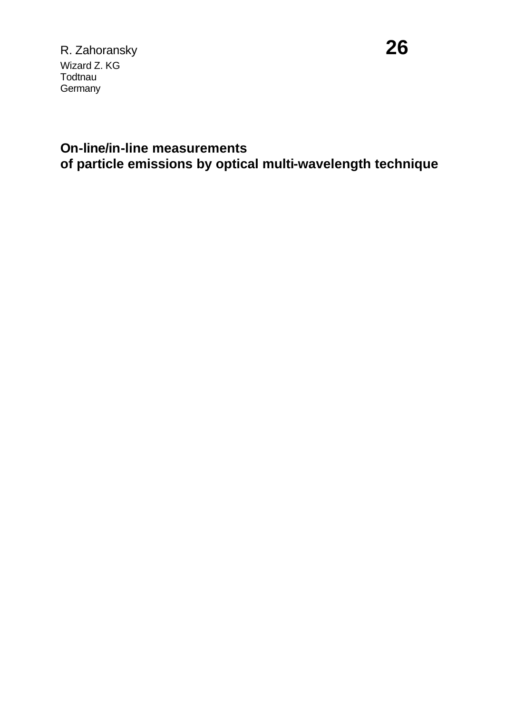R. Zahoransky **26** Wizard Z. KG **Todtnau Germany** 

# **On-line/in-line measurements of particle emissions by optical multi-wavelength technique**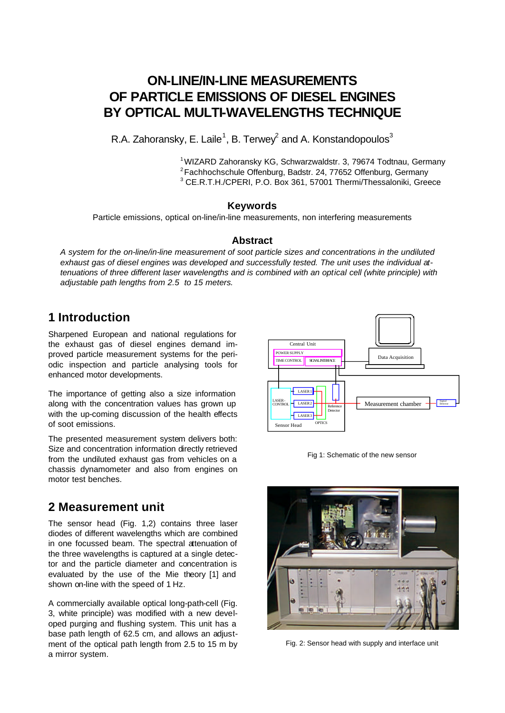## **ON-LINE/IN-LINE MEASUREMENTS OF PARTICLE EMISSIONS OF DIESEL ENGINES BY OPTICAL MULTI-WAVELENGTHS TECHNIQUE**

R.A. Zahoransky, E. Laile<sup>1</sup>, B. Terwey<sup>2</sup> and A. Konstandopoulos<sup>3</sup>

<sup>1</sup> WIZARD Zahoransky KG, Schwarzwaldstr. 3, 79674 Todtnau, Germany <sup>2</sup>Fachhochschule Offenburg, Badstr. 24, 77652 Offenburg, Germany <sup>3</sup> CE.R.T.H./CPERI, P.O. Box 361, 57001 Thermi/Thessaloniki, Greece

#### **Keywords**

Particle emissions, optical on-line/in-line measurements, non interfering measurements

#### **Abstract**

*A system for the on-line/in-line measurement of soot particle sizes and concentrations in the undiluted exhaust gas of diesel engines was developed and successfully tested. The unit uses the individual attenuations of three different laser wavelengths and is combined with an optical cell (white principle) with adjustable path lengths from 2.5 to 15 meters.*

### **1 Introduction**

Sharpened European and national regulations for the exhaust gas of diesel engines demand improved particle measurement systems for the periodic inspection and particle analysing tools for enhanced motor developments.

The importance of getting also a size information along with the concentration values has grown up with the up-coming discussion of the health effects of soot emissions.

The presented measurement system delivers both: Size and concentration information directly retrieved from the undiluted exhaust gas from vehicles on a chassis dynamometer and also from engines on motor test benches.

#### **2 Measurement unit**

The sensor head (Fig. 1,2) contains three laser diodes of different wavelengths which are combined in one focussed beam. The spectral attenuation of the three wavelengths is captured at a single detector and the particle diameter and concentration is evaluated by the use of the Mie theory [1] and shown on-line with the speed of 1 Hz.

A commercially available optical long-path-cell (Fig. 3, white principle) was modified with a new developed purging and flushing system. This unit has a base path length of 62.5 cm, and allows an adjustment of the optical path length from 2.5 to 15 m by a mirror system.



Fig 1: Schematic of the new sensor



Fig. 2: Sensor head with supply and interface unit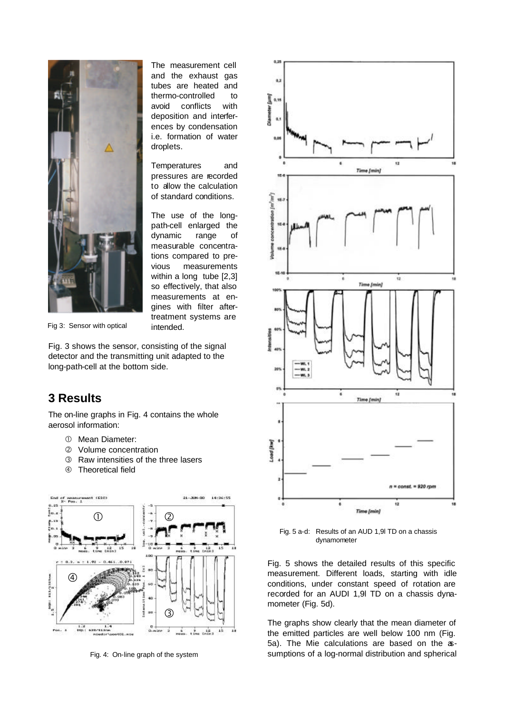

The measurement cell and the exhaust gas tubes are heated and thermo-controlled to avoid conflicts with deposition and interferences by condensation i.e. formation of water droplets.

Temperatures and pressures are recorded to allow the calculation of standard conditions.

The use of the longpath-cell enlarged the dynamic range of measurable concentrations compared to previous measurements within a long tube [2,3] so effectively, that also measurements at engines with filter aftertreatment systems are intended.

Fig 3: Sensor with optical

Fig. 3 shows the sensor, consisting of the signal detector and the transmitting unit adapted to the long-path-cell at the bottom side.

#### **3 Results**

The on-line graphs in Fig. 4 contains the whole aerosol information:

- Å Mean Diameter:
- Ç Volume concentration
- **E** Raw intensities of the three lasers
- Ñ Theoretical field



Fig. 4: On-line graph of the system



Fig. 5 a-d: Results of an AUD 1,9l TD on a chassis dynamometer

Fig. 5 shows the detailed results of this specific measurement. Different loads, starting with idle conditions, under constant speed of rotation are recorded for an AUDI 1,9l TD on a chassis dynamometer (Fig. 5d).

The graphs show clearly that the mean diameter of the emitted particles are well below 100 nm (Fig. 5a). The Mie calculations are based on the assumptions of a log-normal distribution and spherical